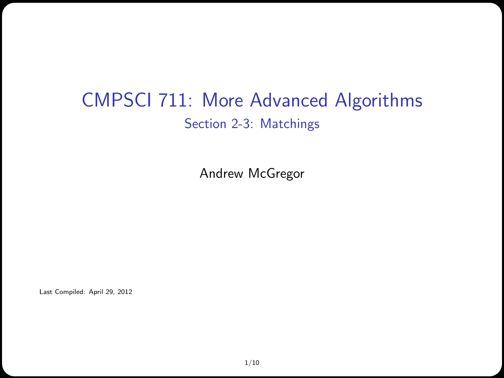### CMPSCI 711: More Advanced Algorithms Section 2-3: Matchings

Andrew McGregor

Last Compiled: April 29, 2012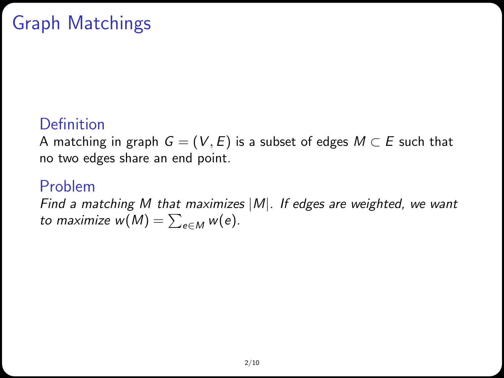# Graph Matchings

### **Definition**

A matching in graph  $G = (V, E)$  is a subset of edges  $M \subset E$  such that no two edges share an end point.

#### Problem

Find a matching M that maximizes  $|M|$ . If edges are weighted, we want to maximize  $w(M) = \sum_{e \in M} w(e)$ .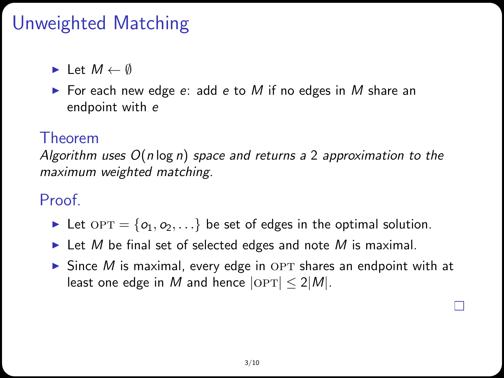## Unweighted Matching

 $\blacktriangleright$  Let  $M \leftarrow \emptyset$ 

 $\triangleright$  For each new edge e: add e to M if no edges in M share an endpoint with e

#### Theorem

Algorithm uses  $O(n \log n)$  space and returns a 2 approximation to the maximum weighted matching.

### Proof.

- Let  $OPT = \{o_1, o_2, ...\}$  be set of edges in the optimal solution.
- In Let M be final set of selected edges and note M is maximal.
- $\triangleright$  Since M is maximal, every edge in OPT shares an endpoint with at least one edge in M and hence  $|OPT| \leq 2|M|$ .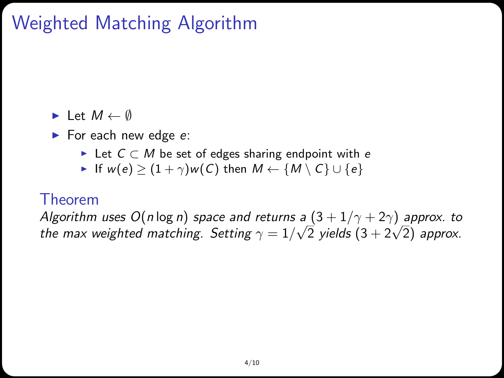# Weighted Matching Algorithm

#### $\blacktriangleright$  Let  $M \leftarrow \emptyset$

- $\blacktriangleright$  For each new edge e:
	- ► Let  $C \subset M$  be set of edges sharing endpoint with e
	- If  $w(e)$  >  $(1+\gamma)w(C)$  then  $M \leftarrow \{M \setminus C\} \cup \{e\}$

#### Theorem

Algorithm uses  $O(n \log n)$  space and returns a  $(3 + 1/\gamma + 2\gamma)$  approx. to Aigorithm uses U(niog n) space and returns a (3 + 1/γ + 2γ) approx. to<br>the max weighted matching. Setting  $\gamma = 1/\sqrt{2}$  yields (3 + 2 $\sqrt{2}$ ) approx.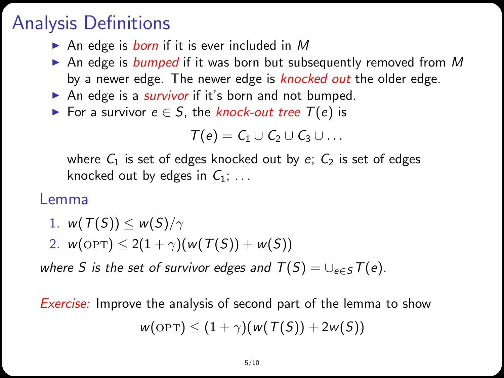## Analysis Definitions

- An edge is *born* if it is ever included in M
- An edge is bumped if it was born but subsequently removed from M by a newer edge. The newer edge is knocked out the older edge.
- An edge is a *survivor* if it's born and not bumped.
- ► For a survivor  $e \in S$ , the knock-out tree  $T(e)$  is

$$
\mathcal{T}(e) = \mathcal{C}_1 \cup \mathcal{C}_2 \cup \mathcal{C}_3 \cup \ldots
$$

where  $C_1$  is set of edges knocked out by e;  $C_2$  is set of edges knocked out by edges in  $C_1$ ; ...

#### Lemma

- 1.  $w(T(S)) \leq w(S)/\gamma$
- 2.  $w(OPT) \leq 2(1 + \gamma)(w(T(S)) + w(S))$

where S is the set of survivor edges and  $T(S) = \bigcup_{e \in S} T(e)$ .

Exercise: Improve the analysis of second part of the lemma to show  $w(\text{OPT}) \leq (1+\gamma)(w(T(S)) + 2w(S))$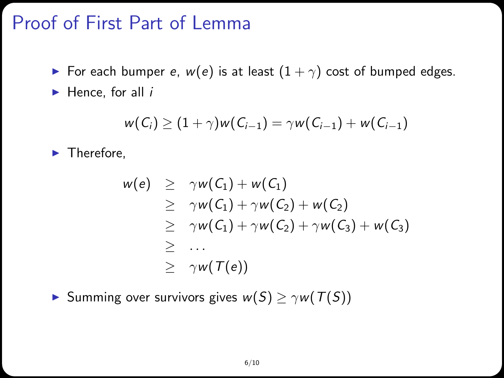### Proof of First Part of Lemma

- For each bumper e,  $w(e)$  is at least  $(1 + \gamma)$  cost of bumped edges.
- $\blacktriangleright$  Hence, for all *i*

$$
w(C_i) \ge (1+\gamma)w(C_{i-1}) = \gamma w(C_{i-1}) + w(C_{i-1})
$$

 $\blacktriangleright$  Therefore,

$$
w(e) \geq \gamma w(C_1) + w(C_1)
$$
  
\n
$$
\geq \gamma w(C_1) + \gamma w(C_2) + w(C_2)
$$
  
\n
$$
\geq \gamma w(C_1) + \gamma w(C_2) + \gamma w(C_3) + w(C_3)
$$
  
\n
$$
\geq \dots
$$
  
\n
$$
\geq \gamma w(T(e))
$$

Summing over survivors gives  $w(S) \ge \gamma w(T(S))$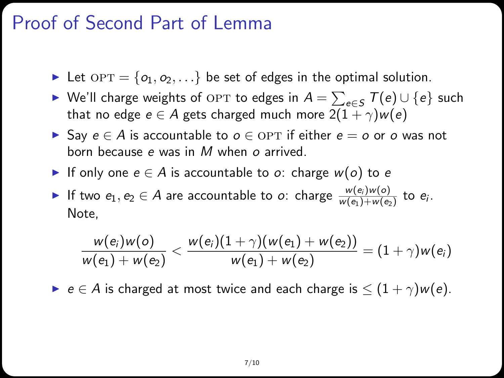### Proof of Second Part of Lemma

- Let  $OPT = \{o_1, o_2, ...\}$  be set of edges in the optimal solution.
- ► We'll charge weights of OPT to edges in  $A = \sum_{e \in S} T(e) \cup \{e\}$  such that no edge  $e \in A$  gets charged much more  $2(1 + \gamma)w(e)$
- ► Say  $e \in A$  is accountable to  $o \in \text{OPT}$  if either  $e = o$  or  $o$  was not born because e was in M when o arrived.
- If only one  $e \in A$  is accountable to o: charge  $w(o)$  to e

If two  $e_1, e_2 \in A$  are accountable to  $o$ : charge  $\frac{w(e_i)w(o)}{w(e_1)+w(e_2)}$  to  $e_i$ . Note,

$$
\frac{w(e_i)w(o)}{w(e_1)+w(e_2)}<\frac{w(e_i)(1+\gamma)(w(e_1)+w(e_2))}{w(e_1)+w(e_2)}=(1+\gamma)w(e_i)
$$

 $\triangleright$  e ∈ A is charged at most twice and each charge is  $\leq (1 + \gamma)w(e)$ .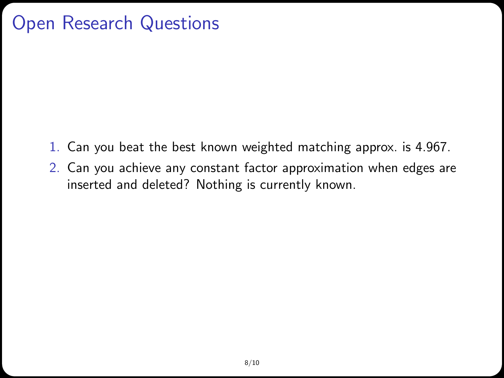## Open Research Questions

- 1. Can you beat the best known weighted matching approx. is 4.967.
- 2. Can you achieve any constant factor approximation when edges are inserted and deleted? Nothing is currently known.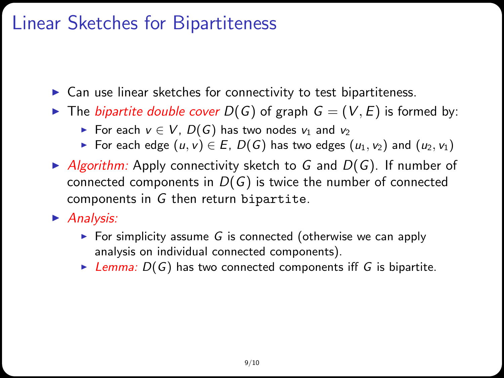## Linear Sketches for Bipartiteness

- $\triangleright$  Can use linear sketches for connectivity to test bipartiteness.
- $\triangleright$  The *bipartite double cover*  $D(G)$  of graph  $G = (V, E)$  is formed by:
	- For each  $v \in V$ ,  $D(G)$  has two nodes  $v_1$  and  $v_2$
	- For each edge  $(u, v) \in E$ ,  $D(G)$  has two edges  $(u_1, v_2)$  and  $(u_2, v_1)$
- $\blacktriangleright$  Algorithm: Apply connectivity sketch to G and  $D(G)$ . If number of connected components in  $D(G)$  is twice the number of connected components in G then return bipartite.
- $\blacktriangleright$  Analysis:
	- For simplicity assume  $G$  is connected (otherwise we can apply analysis on individual connected components).
	- E Lemma:  $D(G)$  has two connected components iff G is bipartite.